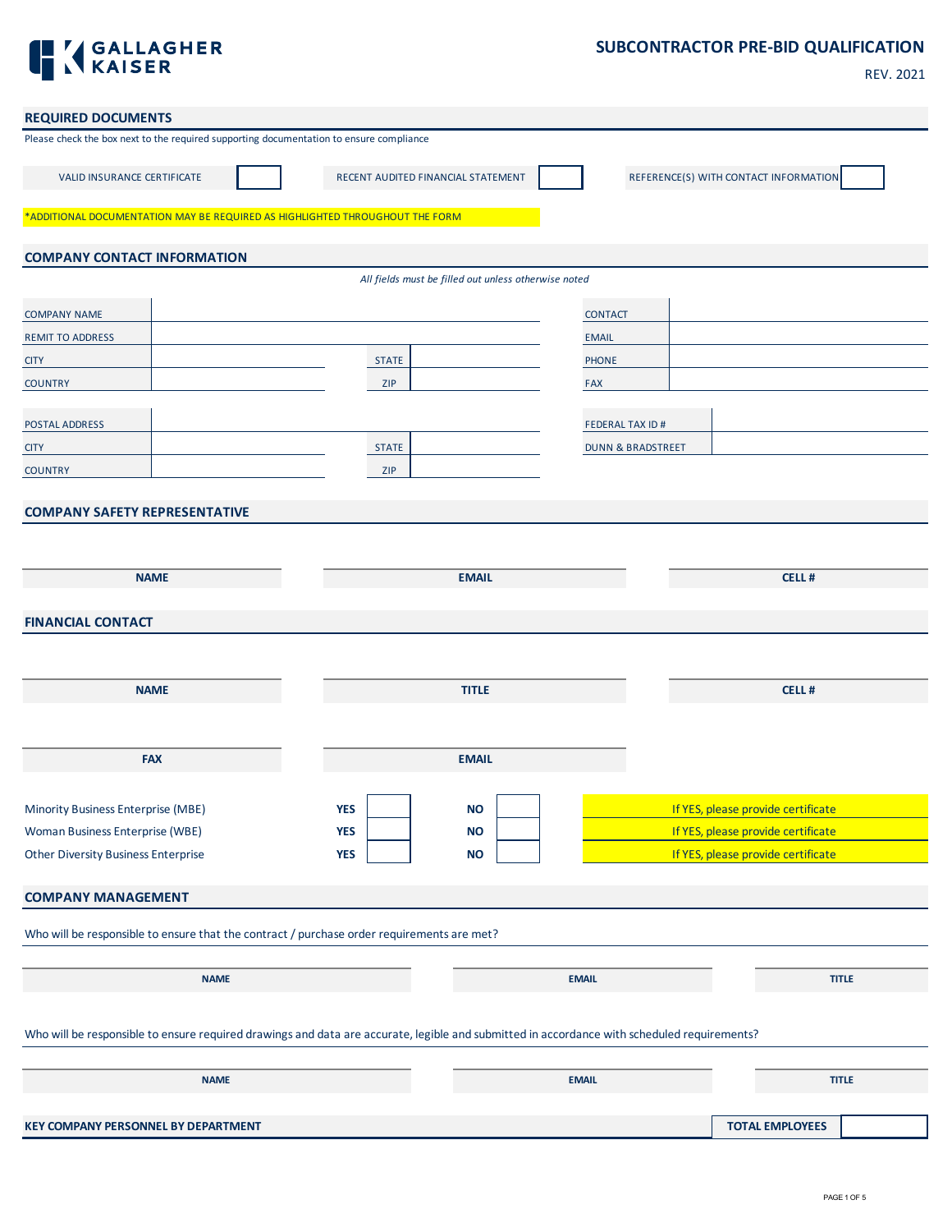

## **SUBCONTRACTOR PRE-BID QUALIFICATION**

| ×<br>۰. |
|---------|
|---------|

| <b>REQUIRED DOCUMENTS</b>                                                                                                                   |                                                      |                              |                                       |
|---------------------------------------------------------------------------------------------------------------------------------------------|------------------------------------------------------|------------------------------|---------------------------------------|
| Please check the box next to the required supporting documentation to ensure compliance                                                     |                                                      |                              |                                       |
| <b>VALID INSURANCE CERTIFICATE</b>                                                                                                          | RECENT AUDITED FINANCIAL STATEMENT                   |                              | REFERENCE(S) WITH CONTACT INFORMATION |
| *ADDITIONAL DOCUMENTATION MAY BE REQUIRED AS HIGHLIGHTED THROUGHOUT THE FORM                                                                |                                                      |                              |                                       |
| <b>COMPANY CONTACT INFORMATION</b>                                                                                                          |                                                      |                              |                                       |
|                                                                                                                                             | All fields must be filled out unless otherwise noted |                              |                                       |
| <b>COMPANY NAME</b>                                                                                                                         |                                                      | <b>CONTACT</b>               |                                       |
| <b>REMIT TO ADDRESS</b>                                                                                                                     |                                                      | <b>EMAIL</b>                 |                                       |
| <b>CITY</b>                                                                                                                                 | <b>STATE</b>                                         | <b>PHONE</b>                 |                                       |
| <b>COUNTRY</b>                                                                                                                              | ZIP                                                  | <b>FAX</b>                   |                                       |
| POSTAL ADDRESS                                                                                                                              |                                                      | <b>FEDERAL TAX ID#</b>       |                                       |
| <b>CITY</b>                                                                                                                                 | <b>STATE</b>                                         | <b>DUNN &amp; BRADSTREET</b> |                                       |
| <b>COUNTRY</b>                                                                                                                              | ZIP                                                  |                              |                                       |
| <b>COMPANY SAFETY REPRESENTATIVE</b>                                                                                                        |                                                      |                              |                                       |
|                                                                                                                                             |                                                      |                              |                                       |
|                                                                                                                                             |                                                      |                              |                                       |
| <b>NAME</b>                                                                                                                                 |                                                      | <b>EMAIL</b>                 | <b>CELL#</b>                          |
| <b>FINANCIAL CONTACT</b>                                                                                                                    |                                                      |                              |                                       |
|                                                                                                                                             |                                                      |                              |                                       |
|                                                                                                                                             |                                                      |                              |                                       |
| <b>NAME</b>                                                                                                                                 |                                                      | <b>TITLE</b>                 | CELL#                                 |
|                                                                                                                                             |                                                      |                              |                                       |
|                                                                                                                                             |                                                      |                              |                                       |
| <b>FAX</b>                                                                                                                                  |                                                      | <b>EMAIL</b>                 |                                       |
|                                                                                                                                             |                                                      |                              |                                       |
| Minority Business Enterprise (MBE)                                                                                                          | <b>YES</b>                                           | <b>NO</b>                    | If YES, please provide certificate    |
| Woman Business Enterprise (WBE)                                                                                                             | <b>YES</b>                                           | <b>NO</b>                    | If YES, please provide certificate    |
| <b>Other Diversity Business Enterprise</b>                                                                                                  | <b>YES</b>                                           | <b>NO</b>                    | If YES, please provide certificate    |
| <b>COMPANY MANAGEMENT</b>                                                                                                                   |                                                      |                              |                                       |
| Who will be responsible to ensure that the contract / purchase order requirements are met?                                                  |                                                      |                              |                                       |
|                                                                                                                                             |                                                      |                              |                                       |
| <b>NAME</b>                                                                                                                                 |                                                      | <b>EMAIL</b>                 | <b>TITLE</b>                          |
|                                                                                                                                             |                                                      |                              |                                       |
| Who will be responsible to ensure required drawings and data are accurate, legible and submitted in accordance with scheduled requirements? |                                                      |                              |                                       |
| <b>NAME</b>                                                                                                                                 |                                                      | <b>EMAIL</b>                 | <b>TITLE</b>                          |
|                                                                                                                                             |                                                      |                              |                                       |
| KEY COMPANY PERSONNEL BY DEPARTMENT                                                                                                         |                                                      |                              | <b>TOTAL EMPLOYEES</b>                |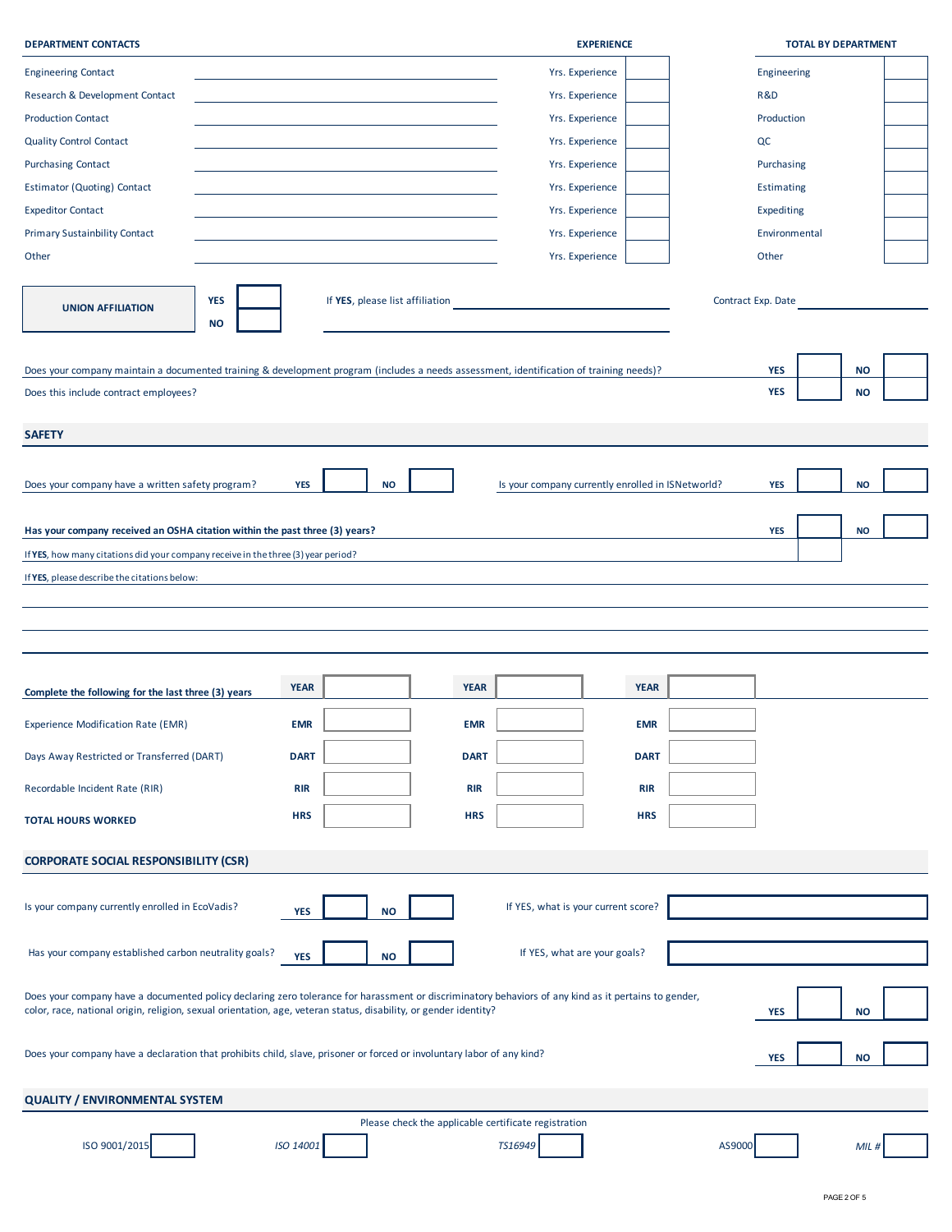| <b>DEPARTMENT CONTACTS</b>                                                                                                                                                                                                                                               |             |           |                                 |             | <b>EXPERIENCE</b>                                    |             |        |                    | <b>TOTAL BY DEPARTMENT</b> |  |
|--------------------------------------------------------------------------------------------------------------------------------------------------------------------------------------------------------------------------------------------------------------------------|-------------|-----------|---------------------------------|-------------|------------------------------------------------------|-------------|--------|--------------------|----------------------------|--|
| <b>Engineering Contact</b>                                                                                                                                                                                                                                               |             |           |                                 |             | Yrs. Experience                                      |             |        | Engineering        |                            |  |
| Research & Development Contact                                                                                                                                                                                                                                           |             |           |                                 |             | Yrs. Experience                                      |             |        | R&D                |                            |  |
| <b>Production Contact</b>                                                                                                                                                                                                                                                |             |           |                                 |             | Yrs. Experience                                      |             |        | Production         |                            |  |
| <b>Quality Control Contact</b>                                                                                                                                                                                                                                           |             |           |                                 |             | Yrs. Experience                                      |             |        | QC                 |                            |  |
| <b>Purchasing Contact</b>                                                                                                                                                                                                                                                |             |           |                                 |             | Yrs. Experience                                      |             |        | Purchasing         |                            |  |
| <b>Estimator (Quoting) Contact</b>                                                                                                                                                                                                                                       |             |           |                                 |             | Yrs. Experience                                      |             |        | <b>Estimating</b>  |                            |  |
| <b>Expeditor Contact</b>                                                                                                                                                                                                                                                 |             |           |                                 |             | Yrs. Experience                                      |             |        | Expediting         |                            |  |
| <b>Primary Sustainbility Contact</b>                                                                                                                                                                                                                                     |             |           |                                 |             | Yrs. Experience                                      |             |        | Environmental      |                            |  |
| Other                                                                                                                                                                                                                                                                    |             |           |                                 |             | Yrs. Experience                                      |             |        | Other              |                            |  |
|                                                                                                                                                                                                                                                                          |             |           |                                 |             |                                                      |             |        |                    |                            |  |
| <b>YES</b><br><b>UNION AFFILIATION</b><br><b>NO</b>                                                                                                                                                                                                                      |             |           | If YES, please list affiliation |             |                                                      |             |        | Contract Exp. Date |                            |  |
| Does your company maintain a documented training & development program (includes a needs assessment, identification of training needs)?                                                                                                                                  |             |           |                                 |             |                                                      |             |        | <b>YES</b>         | <b>NO</b>                  |  |
| Does this include contract employees?                                                                                                                                                                                                                                    |             |           |                                 |             |                                                      |             |        | <b>YES</b>         | <b>NO</b>                  |  |
|                                                                                                                                                                                                                                                                          |             |           |                                 |             |                                                      |             |        |                    |                            |  |
| <b>SAFETY</b>                                                                                                                                                                                                                                                            |             |           |                                 |             |                                                      |             |        |                    |                            |  |
|                                                                                                                                                                                                                                                                          |             |           |                                 |             |                                                      |             |        |                    |                            |  |
| Does your company have a written safety program?                                                                                                                                                                                                                         | <b>YES</b>  | <b>NO</b> |                                 |             | Is your company currently enrolled in ISNetworld?    |             |        | <b>YES</b>         | <b>NO</b>                  |  |
|                                                                                                                                                                                                                                                                          |             |           |                                 |             |                                                      |             |        |                    |                            |  |
| Has your company received an OSHA citation within the past three (3) years?                                                                                                                                                                                              |             |           |                                 |             |                                                      |             |        | <b>YES</b>         | <b>NO</b>                  |  |
| If YES, how many citations did your company receive in the three (3) year period?                                                                                                                                                                                        |             |           |                                 |             |                                                      |             |        |                    |                            |  |
| If YES, please describe the citations below:                                                                                                                                                                                                                             |             |           |                                 |             |                                                      |             |        |                    |                            |  |
|                                                                                                                                                                                                                                                                          |             |           |                                 |             |                                                      |             |        |                    |                            |  |
|                                                                                                                                                                                                                                                                          |             |           |                                 |             |                                                      |             |        |                    |                            |  |
|                                                                                                                                                                                                                                                                          |             |           |                                 |             |                                                      |             |        |                    |                            |  |
|                                                                                                                                                                                                                                                                          |             |           |                                 |             |                                                      |             |        |                    |                            |  |
| Complete the following for the last three (3) years                                                                                                                                                                                                                      | <b>YEAR</b> |           |                                 | <b>YEAR</b> |                                                      | <b>YEAR</b> |        |                    |                            |  |
| <b>Experience Modification Rate (EMR)</b>                                                                                                                                                                                                                                | <b>EMR</b>  |           |                                 | <b>EMR</b>  |                                                      | <b>EMR</b>  |        |                    |                            |  |
| Days Away Restricted or Transferred (DART)                                                                                                                                                                                                                               | <b>DART</b> |           |                                 | <b>DART</b> |                                                      | <b>DART</b> |        |                    |                            |  |
| Recordable Incident Rate (RIR)                                                                                                                                                                                                                                           | <b>RIR</b>  |           |                                 | <b>RIR</b>  |                                                      | <b>RIR</b>  |        |                    |                            |  |
| <b>TOTAL HOURS WORKED</b>                                                                                                                                                                                                                                                | <b>HRS</b>  |           |                                 | <b>HRS</b>  |                                                      | <b>HRS</b>  |        |                    |                            |  |
|                                                                                                                                                                                                                                                                          |             |           |                                 |             |                                                      |             |        |                    |                            |  |
| <b>CORPORATE SOCIAL RESPONSIBILITY (CSR)</b>                                                                                                                                                                                                                             |             |           |                                 |             |                                                      |             |        |                    |                            |  |
|                                                                                                                                                                                                                                                                          |             |           |                                 |             |                                                      |             |        |                    |                            |  |
| Is your company currently enrolled in EcoVadis?                                                                                                                                                                                                                          | YES         | <b>NO</b> |                                 |             | If YES, what is your current score?                  |             |        |                    |                            |  |
|                                                                                                                                                                                                                                                                          |             |           |                                 |             |                                                      |             |        |                    |                            |  |
| Has your company established carbon neutrality goals?                                                                                                                                                                                                                    | <b>YES</b>  | <b>NO</b> |                                 |             | If YES, what are your goals?                         |             |        |                    |                            |  |
|                                                                                                                                                                                                                                                                          |             |           |                                 |             |                                                      |             |        |                    |                            |  |
| Does your company have a documented policy declaring zero tolerance for harassment or discriminatory behaviors of any kind as it pertains to gender,<br>color, race, national origin, religion, sexual orientation, age, veteran status, disability, or gender identity? |             |           |                                 |             |                                                      |             |        | <b>YES</b>         | <b>NO</b>                  |  |
|                                                                                                                                                                                                                                                                          |             |           |                                 |             |                                                      |             |        |                    |                            |  |
| Does your company have a declaration that prohibits child, slave, prisoner or forced or involuntary labor of any kind?                                                                                                                                                   |             |           |                                 |             |                                                      |             |        | <b>YES</b>         | <b>NO</b>                  |  |
|                                                                                                                                                                                                                                                                          |             |           |                                 |             |                                                      |             |        |                    |                            |  |
| <b>QUALITY / ENVIRONMENTAL SYSTEM</b>                                                                                                                                                                                                                                    |             |           |                                 |             |                                                      |             |        |                    |                            |  |
|                                                                                                                                                                                                                                                                          |             |           |                                 |             | Please check the applicable certificate registration |             |        |                    |                            |  |
| ISO 9001/2019                                                                                                                                                                                                                                                            | ISO 14001   |           |                                 |             | TS16949                                              |             | AS9000 |                    | MIL #                      |  |
|                                                                                                                                                                                                                                                                          |             |           |                                 |             |                                                      |             |        |                    |                            |  |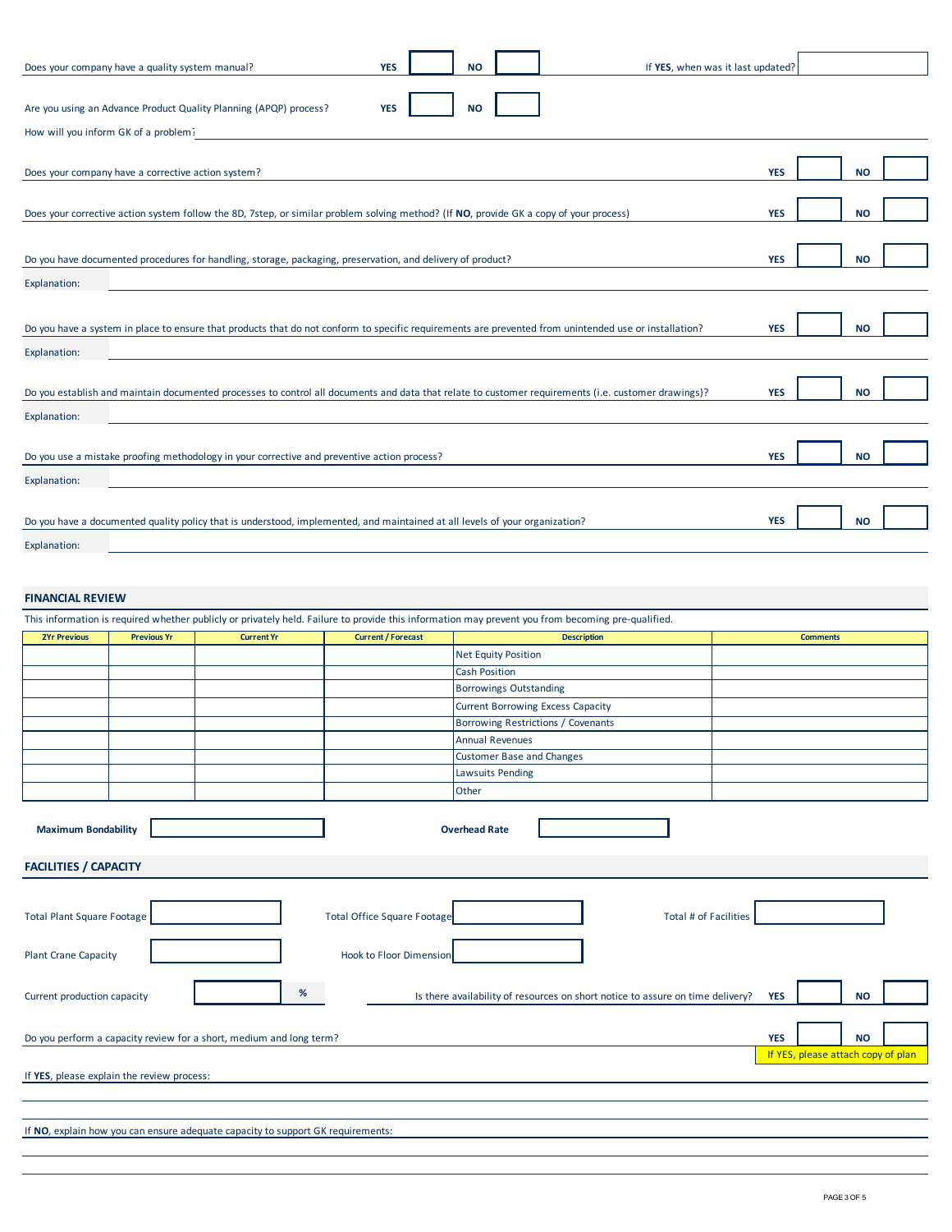| Does your company have a quality system manual?                                                                                        |                                                                                                                                                       | <b>YES</b>                         | <b>NO</b>                                                                      | If YES, when was it last updated? |                                                  |           |  |
|----------------------------------------------------------------------------------------------------------------------------------------|-------------------------------------------------------------------------------------------------------------------------------------------------------|------------------------------------|--------------------------------------------------------------------------------|-----------------------------------|--------------------------------------------------|-----------|--|
| Are you using an Advance Product Quality Planning (APQP) process?                                                                      |                                                                                                                                                       | <b>YES</b>                         | <b>NO</b>                                                                      |                                   |                                                  |           |  |
| How will you inform GK of a problem?                                                                                                   |                                                                                                                                                       |                                    |                                                                                |                                   |                                                  |           |  |
|                                                                                                                                        |                                                                                                                                                       |                                    |                                                                                |                                   |                                                  |           |  |
| Does your company have a corrective action system?                                                                                     |                                                                                                                                                       |                                    |                                                                                |                                   | <b>YES</b>                                       | <b>NO</b> |  |
|                                                                                                                                        |                                                                                                                                                       |                                    |                                                                                |                                   | <b>YES</b>                                       | <b>NO</b> |  |
| Does your corrective action system follow the 8D, 7step, or similar problem solving method? (If NO, provide GK a copy of your process) |                                                                                                                                                       |                                    |                                                                                |                                   |                                                  |           |  |
| Do you have documented procedures for handling, storage, packaging, preservation, and delivery of product?<br><b>YES</b>               |                                                                                                                                                       |                                    |                                                                                |                                   |                                                  |           |  |
| <b>Explanation:</b>                                                                                                                    |                                                                                                                                                       |                                    |                                                                                |                                   |                                                  |           |  |
|                                                                                                                                        |                                                                                                                                                       |                                    |                                                                                |                                   |                                                  |           |  |
|                                                                                                                                        | Do you have a system in place to ensure that products that do not conform to specific requirements are prevented from unintended use or installation? |                                    |                                                                                |                                   | <b>YES</b>                                       | <b>NO</b> |  |
| Explanation:                                                                                                                           |                                                                                                                                                       |                                    |                                                                                |                                   |                                                  |           |  |
|                                                                                                                                        | Do you establish and maintain documented processes to control all documents and data that relate to customer requirements (i.e. customer drawings)?   |                                    |                                                                                |                                   | <b>YES</b>                                       | <b>NO</b> |  |
| <b>Explanation:</b>                                                                                                                    |                                                                                                                                                       |                                    |                                                                                |                                   |                                                  |           |  |
|                                                                                                                                        |                                                                                                                                                       |                                    |                                                                                |                                   |                                                  |           |  |
|                                                                                                                                        | Do you use a mistake proofing methodology in your corrective and preventive action process?                                                           |                                    |                                                                                |                                   | <b>YES</b>                                       | <b>NO</b> |  |
| Explanation:                                                                                                                           |                                                                                                                                                       |                                    |                                                                                |                                   |                                                  |           |  |
|                                                                                                                                        | Do you have a documented quality policy that is understood, implemented, and maintained at all levels of your organization?                           |                                    |                                                                                |                                   | <b>YES</b>                                       | <b>NO</b> |  |
| Explanation:                                                                                                                           |                                                                                                                                                       |                                    |                                                                                |                                   |                                                  |           |  |
|                                                                                                                                        |                                                                                                                                                       |                                    |                                                                                |                                   |                                                  |           |  |
| <b>FINANCIAL REVIEW</b>                                                                                                                |                                                                                                                                                       |                                    |                                                                                |                                   |                                                  |           |  |
|                                                                                                                                        | This information is required whether publicly or privately held. Failure to provide this information may prevent you from becoming pre-qualified.     |                                    |                                                                                |                                   |                                                  |           |  |
| <b>2Yr Previous</b><br><b>Previous Yr</b>                                                                                              | <b>Current Yr</b>                                                                                                                                     | <b>Current / Forecast</b>          | <b>Description</b><br><b>Net Equity Position</b>                               |                                   | <b>Comments</b>                                  |           |  |
|                                                                                                                                        |                                                                                                                                                       |                                    | <b>Cash Position</b>                                                           |                                   |                                                  |           |  |
|                                                                                                                                        |                                                                                                                                                       |                                    | <b>Borrowings Outstanding</b>                                                  |                                   |                                                  |           |  |
|                                                                                                                                        |                                                                                                                                                       |                                    | <b>Current Borrowing Excess Capacity</b>                                       |                                   |                                                  |           |  |
|                                                                                                                                        |                                                                                                                                                       |                                    | Borrowing Restrictions / Covenants<br><b>Annual Revenues</b>                   |                                   |                                                  |           |  |
|                                                                                                                                        |                                                                                                                                                       |                                    | <b>Customer Base and Changes</b>                                               |                                   |                                                  |           |  |
|                                                                                                                                        |                                                                                                                                                       |                                    | <b>Lawsuits Pending</b>                                                        |                                   |                                                  |           |  |
|                                                                                                                                        |                                                                                                                                                       |                                    | Other                                                                          |                                   |                                                  |           |  |
| <b>Maximum Bondability</b>                                                                                                             |                                                                                                                                                       |                                    | <b>Overhead Rate</b>                                                           |                                   |                                                  |           |  |
| <b>FACILITIES / CAPACITY</b>                                                                                                           |                                                                                                                                                       |                                    |                                                                                |                                   |                                                  |           |  |
|                                                                                                                                        |                                                                                                                                                       |                                    |                                                                                |                                   |                                                  |           |  |
| <b>Total Plant Square Footage</b>                                                                                                      |                                                                                                                                                       | <b>Total Office Square Footage</b> |                                                                                | Total # of Facilities             |                                                  |           |  |
| <b>Plant Crane Capacity</b>                                                                                                            |                                                                                                                                                       | Hook to Floor Dimension            |                                                                                |                                   |                                                  |           |  |
| Current production capacity                                                                                                            | %                                                                                                                                                     |                                    | Is there availability of resources on short notice to assure on time delivery? |                                   | <b>YES</b>                                       | NO        |  |
|                                                                                                                                        |                                                                                                                                                       |                                    |                                                                                |                                   |                                                  |           |  |
| Do you perform a capacity review for a short, medium and long term?                                                                    |                                                                                                                                                       |                                    |                                                                                |                                   | <b>YES</b><br>If YES, please attach copy of plan | <b>NO</b> |  |
| If YES, please explain the review process:                                                                                             |                                                                                                                                                       |                                    |                                                                                |                                   |                                                  |           |  |
|                                                                                                                                        |                                                                                                                                                       |                                    |                                                                                |                                   |                                                  |           |  |
|                                                                                                                                        | If NO, explain how you can ensure adequate capacity to support GK requirements:                                                                       |                                    |                                                                                |                                   |                                                  |           |  |
|                                                                                                                                        |                                                                                                                                                       |                                    |                                                                                |                                   |                                                  |           |  |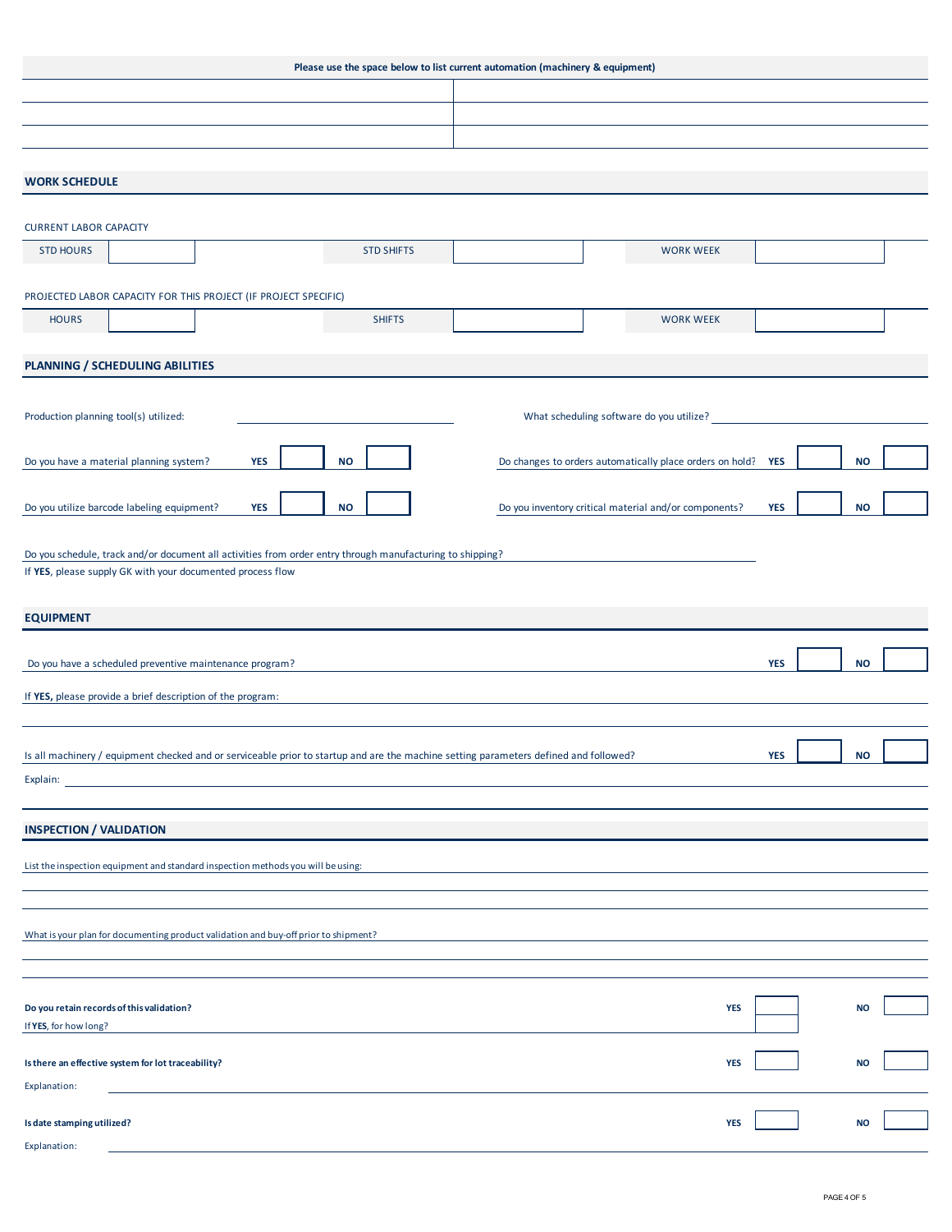| Please use the space below to list current automation (machinery & equipment)                                                         |                   |  |                                                          |            |  |           |  |  |
|---------------------------------------------------------------------------------------------------------------------------------------|-------------------|--|----------------------------------------------------------|------------|--|-----------|--|--|
|                                                                                                                                       |                   |  |                                                          |            |  |           |  |  |
|                                                                                                                                       |                   |  |                                                          |            |  |           |  |  |
|                                                                                                                                       |                   |  |                                                          |            |  |           |  |  |
| <b>WORK SCHEDULE</b>                                                                                                                  |                   |  |                                                          |            |  |           |  |  |
|                                                                                                                                       |                   |  |                                                          |            |  |           |  |  |
| <b>CURRENT LABOR CAPACITY</b>                                                                                                         |                   |  |                                                          |            |  |           |  |  |
| <b>STD HOURS</b>                                                                                                                      | <b>STD SHIFTS</b> |  | <b>WORK WEEK</b>                                         |            |  |           |  |  |
| PROJECTED LABOR CAPACITY FOR THIS PROJECT (IF PROJECT SPECIFIC)                                                                       |                   |  |                                                          |            |  |           |  |  |
| <b>HOURS</b>                                                                                                                          | <b>SHIFTS</b>     |  | <b>WORK WEEK</b>                                         |            |  |           |  |  |
|                                                                                                                                       |                   |  |                                                          |            |  |           |  |  |
| PLANNING / SCHEDULING ABILITIES                                                                                                       |                   |  |                                                          |            |  |           |  |  |
|                                                                                                                                       |                   |  |                                                          |            |  |           |  |  |
| Production planning tool(s) utilized:                                                                                                 |                   |  | What scheduling software do you utilize?                 |            |  |           |  |  |
|                                                                                                                                       |                   |  |                                                          |            |  |           |  |  |
| Do you have a material planning system?<br>YES                                                                                        | <b>NO</b>         |  | Do changes to orders automatically place orders on hold? | <b>YES</b> |  | <b>NO</b> |  |  |
| Do you utilize barcode labeling equipment?<br><b>YES</b>                                                                              | <b>NO</b>         |  | Do you inventory critical material and/or components?    | <b>YES</b> |  | <b>NO</b> |  |  |
|                                                                                                                                       |                   |  |                                                          |            |  |           |  |  |
| Do you schedule, track and/or document all activities from order entry through manufacturing to shipping?                             |                   |  |                                                          |            |  |           |  |  |
| If YES, please supply GK with your documented process flow                                                                            |                   |  |                                                          |            |  |           |  |  |
| <b>EQUIPMENT</b>                                                                                                                      |                   |  |                                                          |            |  |           |  |  |
|                                                                                                                                       |                   |  |                                                          |            |  |           |  |  |
| Do you have a scheduled preventive maintenance program?                                                                               |                   |  |                                                          | <b>YES</b> |  | <b>NO</b> |  |  |
| If YES, please provide a brief description of the program:                                                                            |                   |  |                                                          |            |  |           |  |  |
|                                                                                                                                       |                   |  |                                                          |            |  |           |  |  |
| Is all machinery / equipment checked and or serviceable prior to startup and are the machine setting parameters defined and followed? |                   |  |                                                          | <b>YES</b> |  | NO        |  |  |
| Explain:                                                                                                                              |                   |  |                                                          |            |  |           |  |  |
|                                                                                                                                       |                   |  |                                                          |            |  |           |  |  |
| <b>INSPECTION / VALIDATION</b>                                                                                                        |                   |  |                                                          |            |  |           |  |  |
| List the inspection equipment and standard inspection methods you will be using:                                                      |                   |  |                                                          |            |  |           |  |  |
|                                                                                                                                       |                   |  |                                                          |            |  |           |  |  |
|                                                                                                                                       |                   |  |                                                          |            |  |           |  |  |
| What is your plan for documenting product validation and buy-off prior to shipment?                                                   |                   |  |                                                          |            |  |           |  |  |
|                                                                                                                                       |                   |  |                                                          |            |  |           |  |  |
|                                                                                                                                       |                   |  |                                                          |            |  |           |  |  |
| Do you retain records of this validation?<br>If YES, for how long?                                                                    |                   |  | <b>YES</b>                                               |            |  | <b>NO</b> |  |  |
|                                                                                                                                       |                   |  |                                                          |            |  |           |  |  |
| Is there an effective system for lot traceability?                                                                                    |                   |  | <b>YES</b>                                               |            |  | <b>NO</b> |  |  |
| Explanation:                                                                                                                          |                   |  |                                                          |            |  |           |  |  |
| Is date stamping utilized?                                                                                                            |                   |  | <b>YES</b>                                               |            |  | <b>NO</b> |  |  |
| Explanation:                                                                                                                          |                   |  |                                                          |            |  |           |  |  |